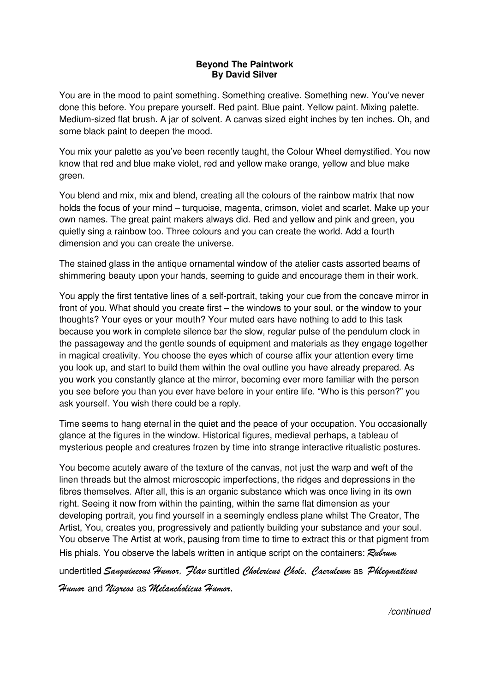## **Beyond The Paintwork By David Silver**

You are in the mood to paint something. Something creative. Something new. You've never done this before. You prepare yourself. Red paint. Blue paint. Yellow paint. Mixing palette. Medium-sized flat brush. A jar of solvent. A canvas sized eight inches by ten inches. Oh, and some black paint to deepen the mood.

You mix your palette as you've been recently taught, the Colour Wheel demystified. You now know that red and blue make violet, red and yellow make orange, yellow and blue make green.

You blend and mix, mix and blend, creating all the colours of the rainbow matrix that now holds the focus of your mind – turquoise, magenta, crimson, violet and scarlet. Make up your own names. The great paint makers always did. Red and yellow and pink and green, you quietly sing a rainbow too. Three colours and you can create the world. Add a fourth dimension and you can create the universe.

The stained glass in the antique ornamental window of the atelier casts assorted beams of shimmering beauty upon your hands, seeming to guide and encourage them in their work.

You apply the first tentative lines of a self-portrait, taking your cue from the concave mirror in front of you. What should you create first – the windows to your soul, or the window to your thoughts? Your eyes or your mouth? Your muted ears have nothing to add to this task because you work in complete silence bar the slow, regular pulse of the pendulum clock in the passageway and the gentle sounds of equipment and materials as they engage together in magical creativity. You choose the eyes which of course affix your attention every time you look up, and start to build them within the oval outline you have already prepared. As you work you constantly glance at the mirror, becoming ever more familiar with the person you see before you than you ever have before in your entire life. "Who is this person?" you ask yourself. You wish there could be a reply.

Time seems to hang eternal in the quiet and the peace of your occupation. You occasionally glance at the figures in the window. Historical figures, medieval perhaps, a tableau of mysterious people and creatures frozen by time into strange interactive ritualistic postures.

You become acutely aware of the texture of the canvas, not just the warp and weft of the linen threads but the almost microscopic imperfections, the ridges and depressions in the fibres themselves. After all, this is an organic substance which was once living in its own right. Seeing it now from within the painting, within the same flat dimension as your developing portrait, you find yourself in a seemingly endless plane whilst The Creator, The Artist, You, creates you, progressively and patiently building your substance and your soul. You observe The Artist at work, pausing from time to time to extract this or that pigment from His phials. You observe the labels written in antique script on the containers: *Rubrum*

undertitled *Sanguineous Humor, Flav* surtitled *Cholericus Chole, Caeruleum* as *Phlegmaticus* 

*Humor* and *Nigreos* as *Melancholicus Humor*.

/continued